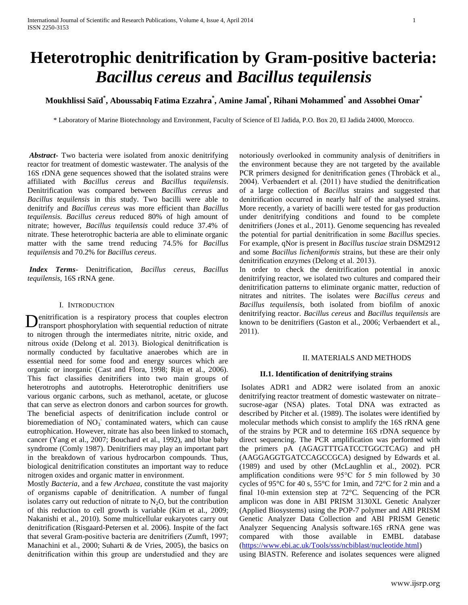# **Heterotrophic denitrification by Gram-positive bacteria:**  *Bacillus cereus* **and** *Bacillus tequilensis*

## **Moukhlissi Saïd\* , Aboussabiq Fatima Ezzahra\* , Amine Jamal\* , Rihani Mohammed\* and Assobhei Omar\***

\* Laboratory of Marine Biotechnology and Environment, Faculty of Science of El Jadida, P.O. Box 20, El Jadida 24000, Morocco.

*Abstract***-** Two bacteria were isolated from anoxic denitrifying reactor for treatment of domestic wastewater. The analysis of the 16S rDNA gene sequences showed that the isolated strains were affiliated with *Bacillus cereus* and *Bacillus tequilensis*. Denitrification was compared between *Bacillus cereus* and *Bacillus tequilensis* in this study. Two bacilli were able to denitrify and *Bacillus cereus* was more efficient than *Bacillus tequilensis*. *Bacillus cereus* reduced 80% of high amount of nitrate; however, *Bacillus tequilensis* could reduce 37.4% of nitrate. These heterotrophic bacteria are able to eliminate organic matter with the same trend reducing 74.5% for *Bacillus tequilensis* and 70.2% for *Bacillus cereus*.

*Index Terms*- Denitrification, *Bacillus cereus*, *Bacillus tequilensis*, 16S rRNA gene.

#### I. INTRODUCTION

enitrification is a respiratory process that couples electron Denitrification is a respiratory process that couples electron<br>transport phosphorylation with sequential reduction of nitrate to nitrogen through the intermediates nitrite, nitric oxide, and nitrous oxide (Delong et al. 2013). Biological denitrification is normally conducted by facultative anaerobes which are in essential need for some food and energy sources which are organic or inorganic (Cast and Flora, 1998; Rijn et al., 2006). This fact classifies denitrifiers into two main groups of heterotrophs and autotrophs. Heterotrophic denitrifiers use various organic carbons, such as methanol, acetate, or glucose that can serve as electron donors and carbon sources for growth. The beneficial aspects of denitrification include control or bioremediation of  $\overline{NO_3}$  contaminated waters, which can cause eutrophication. However, nitrate has also been linked to stomach, cancer (Yang et al., 2007; Bouchard et al., 1992), and blue baby syndrome (Comly 1987). Denitrifiers may play an important part in the breakdown of various hydrocarbon compounds. Thus, biological denitrification constitutes an important way to reduce nitrogen oxides and organic matter in environment.

Mostly *Bacteria*, and a few *Archaea*, constitute the vast majority of organisms capable of denitrification. A number of fungal isolates carry out reduction of nitrate to  $N_2O$ , but the contribution of this reduction to cell growth is variable (Kim et al., 2009; Nakanishi et al., 2010). Some multicellular eukaryotes carry out denitrification (Risgaard-Petersen et al. 2006). Inspite of the fact that several Gram-positive bacteria are denitrifiers (Zumft, 1997; Manachini et al., 2000; Suharti & de Vries, 2005), the basics on denitrification within this group are understudied and they are

notoriously overlooked in community analysis of denitrifiers in the environment because they are not targeted by the available PCR primers designed for denitrification genes (Throbäck et al., 2004). Verbaendert et al. (2011) have studied the denitrification of a large collection of *Bacillus* strains and suggested that denitrification occurred in nearly half of the analysed strains. More recently, a variety of bacilli were tested for gas production under denitrifying conditions and found to be complete denitrifiers (Jones et al., 2011). Genome sequencing has revealed the potential for partial denitrification in some *Bacillus* species. For example, qNor is present in *Bacillus tusciae* strain DSM2912 and some *Bacillus licheniformis* strains, but these are their only denitrification enzymes (Delong et al. 2013).

In order to check the denitrification potential in anoxic denitrifying reactor, we isolated two cultures and compared their denitrification patterns to eliminate organic matter, reduction of nitrates and nitrites. The isolates were *Bacillus cereus* and *Bacillus tequilensis*, both isolated from biofilm of anoxic denitrifying reactor. *Bacillus cereus* and *Bacillus tequilensis* are known to be denitrifiers (Gaston et al., 2006; Verbaendert et al., 2011).

## II. MATERIALS AND METHODS

#### **II.1. Identification of denitrifying strains**

Isolates ADR1 and ADR2 were isolated from an anoxic denitrifying reactor treatment of domestic wastewater on nitrate– sucrose-agar (NSA) plates. Total DNA was extracted as described by Pitcher et al. (1989). The isolates were identified by molecular methods which consist to amplify the 16S rRNA gene of the strains by PCR and to determine 16S rDNA sequence by direct sequencing. The PCR amplification was performed with the primers pA (AGAGTTTGATCCTGGCTCAG) and pH (AAGGAGGTGATCCAGCCGCA) designed by Edwards et al. (1989) and used by other (McLaughlin et al., 2002). PCR amplification conditions were 95°C for 5 min followed by 30 cycles of 95°C for 40 s, 55°C for 1min, and 72°C for 2 min and a final 10-min extension step at 72°C. Sequencing of the PCR amplicon was done in ABI PRISM 3130XL Genetic Analyzer (Applied Biosystems) using the POP-7 polymer and ABI PRISM Genetic Analyzer Data Collection and ABI PRISM Genetic Analyzer Sequencing Analysis software.16S rRNA gene was compared with those available in EMBL database [\(https://www.ebi.ac.uk/Tools/sss/ncbiblast/nucleotide.html\)](https://www.ebi.ac.uk/Tools/sss/ncbiblast/nucleotide.html)

using BlASTN. Reference and isolates sequences were aligned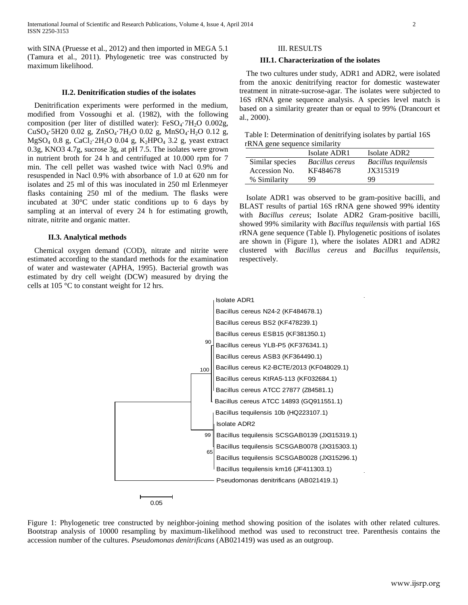with SINA (Pruesse et al., 2012) and then imported in MEGA 5.1 (Tamura et al., 2011). Phylogenetic tree was constructed by maximum likelihood.

#### **II.2. Denitrification studies of the isolates**

Denitrification experiments were performed in the medium, modified from Vossoughi et al. (1982), with the following composition (per liter of distilled water):  $FeSO<sub>4</sub>·7H<sub>2</sub>O$  0.002g, CuSO4·5H20 0.02 g, ZnSO4·7H2O 0.02 g, MnSO4·H2O 0.12 g, MgSO<sub>4</sub> 0.8 g, CaCl<sub>2</sub>·2H<sub>2</sub>O 0.04 g, K<sub>2</sub>HPO<sub>4</sub> 3.2 g, yeast extract 0.3g, KNO3 4.7g, sucrose 3g, at pH 7.5. The isolates were grown in nutrient broth for 24 h and centrifuged at 10.000 rpm for 7 min. The cell pellet was washed twice with Nacl 0.9% and resuspended in Nacl 0.9% with absorbance of 1.0 at 620 nm for isolates and 25 ml of this was inoculated in 250 ml Erlenmeyer flasks containing 250 ml of the medium. The flasks were incubated at 30°C under static conditions up to 6 days by sampling at an interval of every 24 h for estimating growth, nitrate, nitrite and organic matter.

#### **II.3. Analytical methods**

Chemical oxygen demand (COD), nitrate and nitrite were estimated according to the standard methods for the examination of water and wastewater (APHA, 1995). Bacterial growth was estimated by dry cell weight (DCW) measured by drying the cells at 105 °C to constant weight for 12 hrs.

### III. RESULTS

## **III.1. Characterization of the isolates**

The two cultures under study, ADR1 and ADR2, were isolated from the anoxic denitrifying reactor for domestic wastewater treatment in nitrate-sucrose-agar. The isolates were subjected to 16S rRNA gene sequence analysis. A species level match is based on a similarity greater than or equal to 99% (Drancourt et al., 2000).

Table I: Determination of denitrifying isolates by partial 16S rRNA gene sequence similarity

|                 | Isolate ADR1    | Isolate ADR <sub>2</sub> |
|-----------------|-----------------|--------------------------|
| Similar species | Bacillus cereus | Bacillus tequilensis     |
| Accession No.   | KF484678        | JX315319                 |
| % Similarity    | 99              | 99                       |

Isolate ADR1 was observed to be gram-positive bacilli, and BLAST results of partial 16S rRNA gene showed 99% identity with *Bacillus cereus*; Isolate ADR2 Gram-positive bacilli, showed 99% similarity with *Bacillus tequilensis* with partial 16S rRNA gene sequence (Table I). Phylogenetic positions of isolates are shown in (Figure 1), where the isolates ADR1 and ADR2 clustered with *Bacillus cereus* and *Bacillus tequilensis*, respectively.



Figure 1: Phylogenetic tree constructed by neighbor-joining method showing position of the isolates with other related cultures. Bootstrap analysis of 10000 resampling by maximum-likelihood method was used to reconstruct tree. Parenthesis contains the accession number of the cultures. *Pseudomonas denitrificans* (AB021419) was used as an outgroup.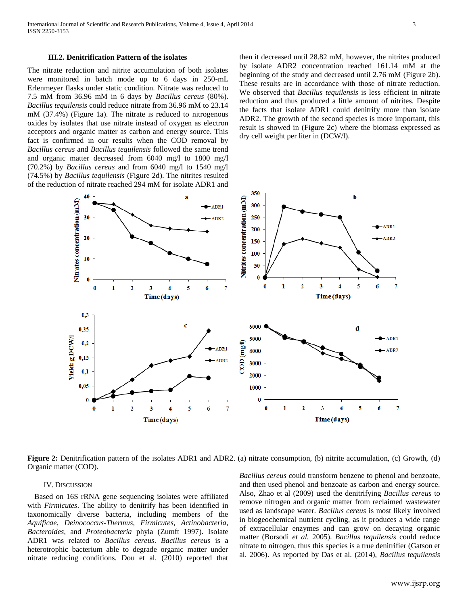#### **III.2. Denitrification Pattern of the isolates**

The nitrate reduction and nitrite accumulation of both isolates were monitored in batch mode up to 6 days in 250-mL Erlenmeyer flasks under static condition. Nitrate was reduced to 7.5 mM from 36.96 mM in 6 days by *Bacillus cereus* (80%). *Bacillus tequilensis* could reduce nitrate from 36.96 mM to 23.14 mM (37.4%) (Figure 1a). The nitrate is reduced to nitrogenous oxides by isolates that use nitrate instead of oxygen as electron acceptors and organic matter as carbon and energy source. This fact is confirmed in our results when the COD removal by *Bacillus cereus* and *Bacillus tequilensis* followed the same trend and organic matter decreased from 6040 mg/l to 1800 mg/l (70.2%) by *Bacillus cereus* and from 6040 mg/l to 1540 mg/l (74.5%) by *Bacillus tequilensis* (Figure 2d). The nitrites resulted of the reduction of nitrate reached 294 mM for isolate ADR1 and then it decreased until 28.82 mM, however, the nitrites produced by isolate ADR2 concentration reached 161.14 mM at the beginning of the study and decreased until 2.76 mM (Figure 2b). These results are in accordance with those of nitrate reduction. We observed that *Bacillus tequilensis* is less efficient in nitrate reduction and thus produced a little amount of nitrites. Despite the facts that isolate ADR1 could denitrify more than isolate ADR2. The growth of the second species is more important, this result is showed in (Figure 2c) where the biomass expressed as dry cell weight per liter in (DCW/l).



**Figure 2:** Denitrification pattern of the isolates ADR1 and ADR2. (a) nitrate consumption, (b) nitrite accumulation, (c) Growth, (d) Organic matter (COD).

#### IV. DISCUSSION

Based on 16S rRNA gene sequencing isolates were affiliated with *Firmicutes*. The ability to denitrify has been identified in taxonomically diverse bacteria, including members of the *Aquificae*, *Deinococcus*-*Thermus*, *Firmicutes*, *Actinobacteria*, *Bacteroides*, and *Proteobacteria* phyla (Zumft 1997). Isolate ADR1 was related to *Bacillus cereus*. *Bacillus cereu*s is a heterotrophic bacterium able to degrade organic matter under nitrate reducing conditions. Dou et al. (2010) reported that

*Bacillus cereus* could transform benzene to phenol and benzoate, and then used phenol and benzoate as carbon and energy source. Also, Zhao et al (2009) used the denitrifying *Bacillus cereus* to remove nitrogen and organic matter from reclaimed wastewater used as landscape water. *Bacillus cereus* is most likely involved in biogeochemical nutrient cycling, as it produces a wide range of extracellular enzymes and can grow on decaying organic matter (Borsodi *et al.* 2005). *Bacillus tequilensis* could reduce nitrate to nitrogen, thus this species is a true denitrifier (Gatson et al. 2006). As reported by Das et al. (2014), *Bacillus tequilensis*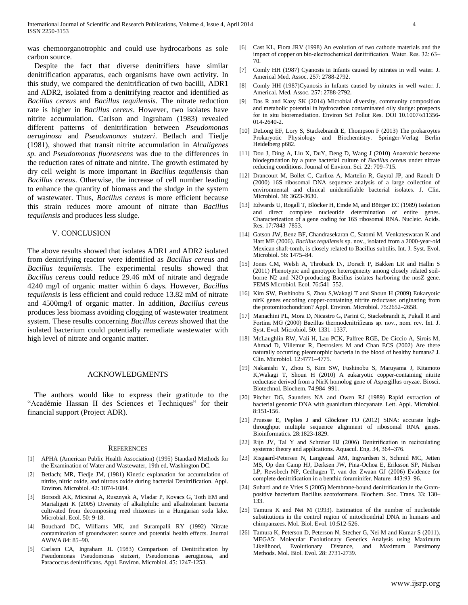was chemoorganotrophic and could use hydrocarbons as sole carbon source.

Despite the fact that diverse denitrifiers have similar denitrification apparatus, each organisms have own activity. In this study, we compared the denitrification of two bacilli, ADR1 and ADR2, isolated from a denitrifying reactor and identified as *Bacillus cereus* and *Bacillus tequilensis*. The nitrate reduction rate is higher in *Bacillus cereus*. However, two isolates have nitrite accumulation. Carlson and Ingraham (1983) revealed different patterns of denitrification between *Pseudomonas aeruginosa* and *Pseudomonas stutzeri*. Betlach and Tiedje (1981), showed that transit nitrite accumulation in *Alcaligenes sp.* and *Pseudomonas fluorescens* was due to the differences in the reduction rates of nitrate and nitrite. The growth estimated by dry cell weight is more important in *Bacillus tequilensis* than *Bacillus cereus*. Otherwise, the increase of cell number leading to enhance the quantity of biomass and the sludge in the system of wastewater. Thus, *Bacillus cereus* is more efficient because this strain reduces more amount of nitrate than *Bacillus tequilensis* and produces less sludge.

#### V. CONCLUSION

The above results showed that isolates ADR1 and ADR2 isolated from denitrifying reactor were identified as *Bacillus cereus* and *Bacillus tequilensis*. The experimental results showed that *Bacillus cereus* could reduce 29.46 mM of nitrate and degrade 4240 mg/l of organic matter within 6 days. However, *Bacillus tequilensis* is less efficient and could reduce 13.82 mM of nitrate and 4500mg/l of organic matter. In addition, *Bacillus cereus* produces less biomass avoiding clogging of wastewater treatment system. These results concerning *Bacillus cereus* showed that the isolated bacterium could potentially remediate wastewater with high level of nitrate and organic matter.

#### ACKNOWLEDGMENTS

The authors would like to express their gratitude to the "Académie Hassan II des Sciences et Techniques" for their financial support (Project ADR).

#### **REFERENCES**

- [1] APHA (American Public Health Association) (1995) Standard Methods for the Examination of Water and Wastewater, 19th ed, Washington DC.
- [2] Betlach; MR, Tiedje JM, (1981) Kinetic explanation for accumulation of nitrite, nitric oxide, and nitrous oxide during bacterial Denitrification. Appl. Environ. Microbiol. 42: 1074-1084.
- [3] Borsodi AK, Micsinai A, Rusznyak A, Vladar P, Kovacs G, Toth EM and Marialigeti K (2005) Diversity of alkaliphilic and alkalitolerant bacteria cultivated from decomposing reed rhizomes in a Hungarian soda lake. Microbial. Ecol. 50: 9-18.
- [4] Bouchard DC, Williams MK, and Surampalli RY (1992) Nitrate contamination of groundwater: source and potential health effects. Journal AWWA 84: 85–90.
- [5] Carlson CA, Ingraham JL (1983) Comparison of Denitrification by Pseudomonas Pseudomonas stutzeri, Pseudomonas aeruginosa, and Paracoccus denitrificans. Appl. Environ. Microbiol. 45: 1247-1253.
- [6] Cast KL, Flora JRV (1998) An evolution of two cathode materials and the impact of copper on bio-electrochemical denitrification. Water. Res. 32: 63– 70.
- [7] Comly HH (1987) Cyanosis in Infants caused by nitrates in well water. J. Americal Med. Assoc. 257: 2788-2792.
- [8] Comly HH (1987)Cyanosis in Infants caused by nitrates in well water. J. Americal. Med. Assoc. 257: 2788-2792.
- [9] Das R and Kazy SK (2014) Microbial diversity, community composition and metabolic potential in hydrocarbon contaminated oily sludge: prospects for in situ bioremediation. Environ Sci Pollut Res. DOI 10.1007/s11356- 014-2640-2.
- [10] DeLong EF, Lory S, Stackebrandt E, Thompson F (2013) The prokaroytes Prokaryotic Physiology and Biochemistry. Springer-Verlag Berlin Heidelberg p682.
- [11] Dou J, Ding A, Liu X, DuY, Deng D, Wang J (2010) Anaerobic benzene biodegradation by a pure bacterial culture of *Bacillus cereus* under nitrate reducing conditions. Journal of Environ. Sci. 22: 709–715.
- [12] Drancourt M, Bollet C, Carlioz A, Martelin R, Gayral JP, and Raoult D (2000) 16S ribosomal DNA sequence analysis of a large collection of environmental and clinical unidentifiable bacterial isolates. J. Clin. Microbiol. 38: 3623-3630.
- [13] Edwards U, Rogall T, Blöcker H, Emde M, and Böttger EC (1989) Isolation and direct complete nucleotide determination of entire genes. Characterization of a gene coding for 16S ribosomal RNA. Nucleic. Acids. Res. 17:7843–7853.
- [14] Gatson JW, Benz BF, Chandrasekaran C, Satomi M, Venkateswaran K and Hart ME (2006). *Bacillus tequilensis* sp. nov., isolated from a 2000-year-old Mexican shaft-tomb, is closely related to Bacillus subtilis. Int. J. Syst. Evol. Microbiol. 56: 1475–84.
- [15] Jones CM, Welsh A, Throback IN, Dorsch P, Bakken LR and Hallin S (2011) Phenotypic and genotypic heterogeneity among closely related soilborne N2 and N2O-producing Bacillus isolates harboring the nosZ gene. FEMS Microbiol. Ecol. 76:541–552.
- [16] Kim SW, Fushinobu S, Zhou S,Wakagi T and Shoun H (2009) Eukaryotic nirK genes encoding copper-containing nitrite reductase: originating from the protomitochondrion? Appl. Environ. Microbiol. 75:2652–2658.
- [17] Manachini PL, Mora D, Nicastro G, Parini C, Stackebrandt E, Pukall R and Fortina MG (2000) Bacillus thermodenitrificans sp. nov., nom. rev. Int. J. Syst. Evol. Microbiol. 50: 1331–1337.
- [18] McLaughlin RW, Vali H, Lau PCK, Palfree RGE, De Ciccio A, Sirois M, Ahmad D, Villemur R, Desrosiers M and Chan ECS (2002) Are there naturally occurring pleomorphic bacteria in the blood of healthy humans? J. Clin. Microbiol. 12:4771–4775.
- [19] Nakanishi Y, Zhou S, Kim SW, Fushinobu S, Maruyama J, Kitamoto K,Wakagi T, Shoun H (2010) A eukaryotic copper-containing nitrite reductase derived from a NirK homolog gene of Aspergillus oryzae. Biosci. Biotechnol. Biochem. 74:984–991.
- [20] Pitcher DG, Saunders NA and Owen RJ (1989) Rapid extraction of bacterial genomic DNA with guanidium thiocyanate. Lett. Appl. Microbiol. 8:151-156.
- [21] Pruesse E, Peplies J and Glöckner FO (2012) SINA: accurate highthroughput multiple sequence alignment of ribosomal RNA genes. Bioinformatics. 28:1823-1829.
- [22] Rijn JV, Tal Y and Schreier HJ (2006) Denitrification in recirculating systems: theory and applications. Aquacul. Eng. 34, 364–376.
- [23] Risgaard-Petersen N, Langezaal AM, Ingvardsen S, Schmid MC, Jetten MS, Op den Camp HJ, Derksen JW, Pina-Ochoa E, Eriksson SP, Nielsen LP, Revsbech NP, Cedhagen T, van der Zwaan GJ (2006) Evidence for complete denitrification in a benthic foraminifer. Nature. 443:93–96.
- [24] Suharti and de Vries S (2005) Membrane-bound denitrification in the Grampositive bacterium Bacillus azotoformans. Biochem. Soc. Trans. 33: 130– 133.
- [25] Tamura K and Nei M (1993). Estimation of the number of nucleotide substitutions in the control region of mitochondrial DNA in humans and chimpanzees. Mol. Biol. Evol. 10:512-526.
- [26] Tamura K, Peterson D, Peterson N, Stecher G, Nei M and Kumar S (2011). MEGA5: Molecular Evolutionary Genetics Analysis using Maximum Likelihood, Evolutionary Distance, and Maximum Parsimony Methods. Mol. Biol. Evol. 28: 2731-2739.